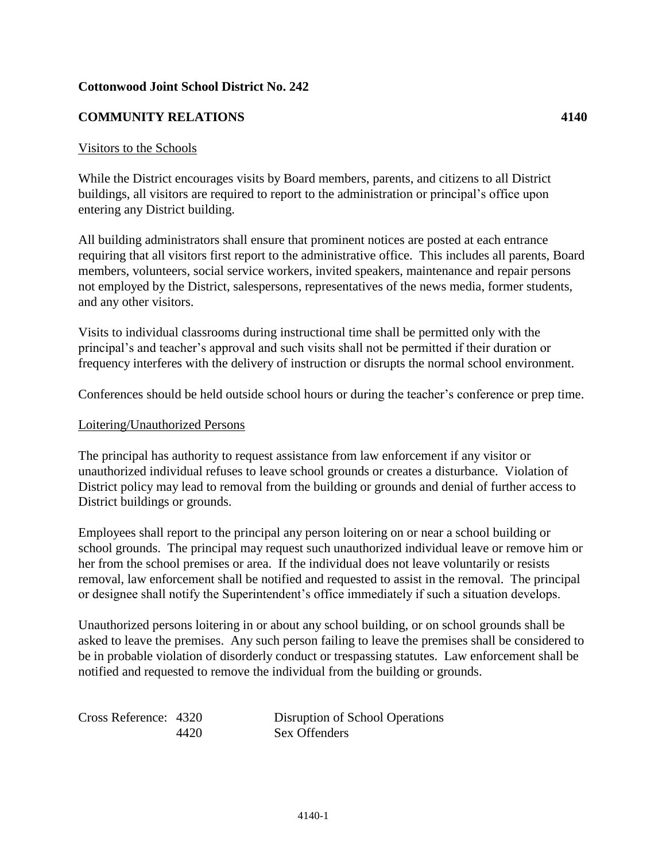## **Cottonwood Joint School District No. 242**

## **COMMUNITY RELATIONS 4140**

## Visitors to the Schools

While the District encourages visits by Board members, parents, and citizens to all District buildings, all visitors are required to report to the administration or principal's office upon entering any District building.

All building administrators shall ensure that prominent notices are posted at each entrance requiring that all visitors first report to the administrative office. This includes all parents, Board members, volunteers, social service workers, invited speakers, maintenance and repair persons not employed by the District, salespersons, representatives of the news media, former students, and any other visitors.

Visits to individual classrooms during instructional time shall be permitted only with the principal's and teacher's approval and such visits shall not be permitted if their duration or frequency interferes with the delivery of instruction or disrupts the normal school environment.

Conferences should be held outside school hours or during the teacher's conference or prep time.

## Loitering/Unauthorized Persons

The principal has authority to request assistance from law enforcement if any visitor or unauthorized individual refuses to leave school grounds or creates a disturbance. Violation of District policy may lead to removal from the building or grounds and denial of further access to District buildings or grounds.

Employees shall report to the principal any person loitering on or near a school building or school grounds. The principal may request such unauthorized individual leave or remove him or her from the school premises or area. If the individual does not leave voluntarily or resists removal, law enforcement shall be notified and requested to assist in the removal. The principal or designee shall notify the Superintendent's office immediately if such a situation develops.

Unauthorized persons loitering in or about any school building, or on school grounds shall be asked to leave the premises. Any such person failing to leave the premises shall be considered to be in probable violation of disorderly conduct or trespassing statutes. Law enforcement shall be notified and requested to remove the individual from the building or grounds.

Cross Reference: 4320 Disruption of School Operations 4420 Sex Offenders